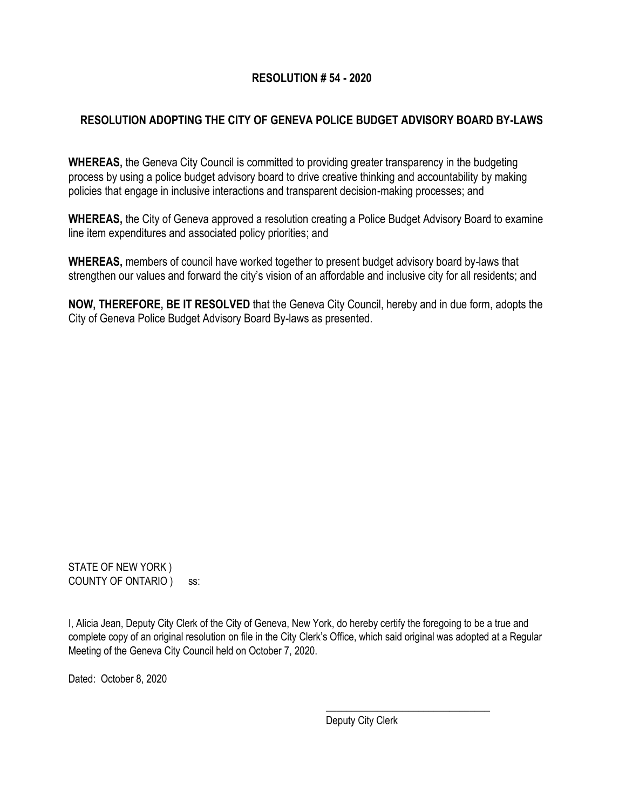# **RESOLUTION # 54 - 2020**

# **RESOLUTION ADOPTING THE CITY OF GENEVA POLICE BUDGET ADVISORY BOARD BY-LAWS**

**WHEREAS,** the Geneva City Council is committed to providing greater transparency in the budgeting process by using a police budget advisory board to drive creative thinking and accountability by making policies that engage in inclusive interactions and transparent decision-making processes; and

**WHEREAS,** the City of Geneva approved a resolution creating a Police Budget Advisory Board to examine line item expenditures and associated policy priorities; and

**WHEREAS,** members of council have worked together to present budget advisory board by-laws that strengthen our values and forward the city's vision of an affordable and inclusive city for all residents; and

**NOW, THEREFORE, BE IT RESOLVED** that the Geneva City Council, hereby and in due form, adopts the City of Geneva Police Budget Advisory Board By-laws as presented.

STATE OF NEW YORK ) COUNTY OF ONTARIO ) ss:

I, Alicia Jean, Deputy City Clerk of the City of Geneva, New York, do hereby certify the foregoing to be a true and complete copy of an original resolution on file in the City Clerk's Office, which said original was adopted at a Regular Meeting of the Geneva City Council held on October 7, 2020.

Dated: October 8, 2020

Deputy City Clerk

\_\_\_\_\_\_\_\_\_\_\_\_\_\_\_\_\_\_\_\_\_\_\_\_\_\_\_\_\_\_\_\_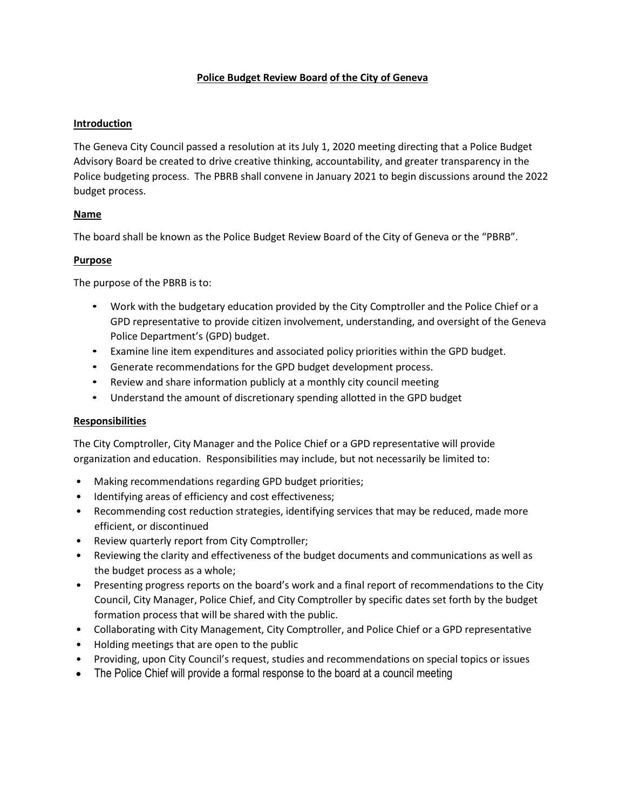## **Police Budget Review Board of the City of Geneva**

## **Introduction**

The Geneva City Council passed a resolution at its July 1, 2020 meeting directing that a Police Budget Advisory Board be created to drive creative thinking, accountability, and greater transparency in the Police budgeting process. The PBRB shall convene in January 2021 to begin discussions around the 2022 budget process.

## **Name**

The board shall be known as the Police Budget Review Board of the City of Geneva or the "PBRB".

## **Purpose**

The purpose of the PBRB is to:

- Work with the budgetary education provided by the City Comptroller and the Police Chief or a GPD representative to provide citizen involvement, understanding, and oversight of the Geneva Police Department's (GPD) budget.
- Examine line item expenditures and associated policy priorities within the GPD budget.
- Generate recommendations for the GPD budget development process.
- Review and share information publicly at a monthly city council meeting
- Understand the amount of discretionary spending allotted in the GPD budget

#### **Responsibilities**

The City Comptroller, City Manager and the Police Chief or a GPD representative will provide organization and education. Responsibilities may include, but not necessarily be limited to:

- Making recommendations regarding GPD budget priorities;
- Identifying areas of efficiency and cost effectiveness;
- Recommending cost reduction strategies, identifying services that may be reduced, made more efficient, or discontinued
- Review quarterly report from City Comptroller;
- Reviewing the clarity and effectiveness of the budget documents and communications as well as the budget process as a whole;
- Presenting progress reports on the board's work and a final report of recommendations to the City Council, City Manager, Police Chief, and City Comptroller by specific dates set forth by the budget formation process that will be shared with the public.
- Collaborating with City Management, City Comptroller, and Police Chief or a GPD representative
- Holding meetings that are open to the public
- Providing, upon City Council's request, studies and recommendations on special topics or issues
- The Police Chief will provide a formal response to the board at a council meeting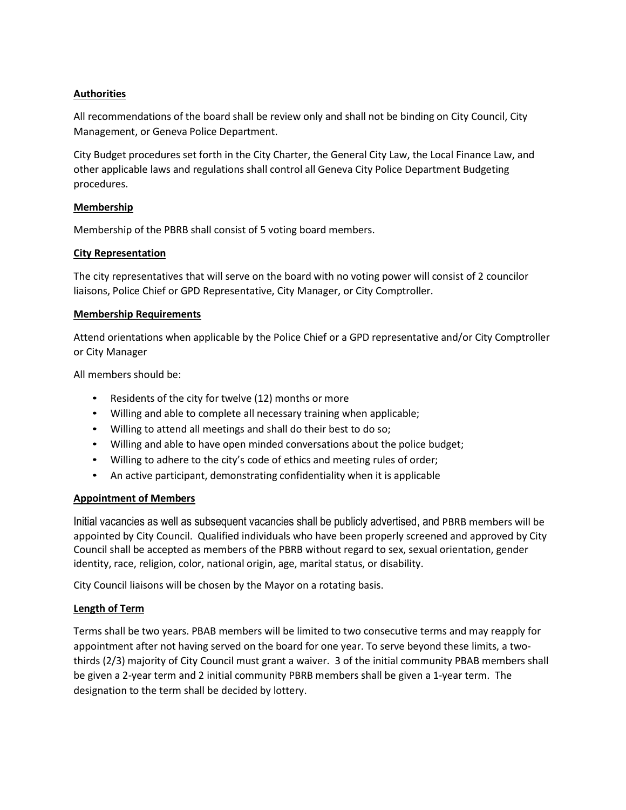## **Authorities**

All recommendations of the board shall be review only and shall not be binding on City Council, City Management, or Geneva Police Department.

City Budget procedures set forth in the City Charter, the General City Law, the Local Finance Law, and other applicable laws and regulations shall control all Geneva City Police Department Budgeting procedures.

#### **Membership**

Membership of the PBRB shall consist of 5 voting board members.

## **City Representation**

The city representatives that will serve on the board with no voting power will consist of 2 councilor liaisons, Police Chief or GPD Representative, City Manager, or City Comptroller.

#### **Membership Requirements**

Attend orientations when applicable by the Police Chief or a GPD representative and/or City Comptroller or City Manager

All members should be:

- Residents of the city for twelve (12) months or more
- Willing and able to complete all necessary training when applicable;
- Willing to attend all meetings and shall do their best to do so;
- Willing and able to have open minded conversations about the police budget;
- Willing to adhere to the city's code of ethics and meeting rules of order;
- An active participant, demonstrating confidentiality when it is applicable

#### **Appointment of Members**

Initial vacancies as well as subsequent vacancies shall be publicly advertised, and PBRB members will be appointed by City Council. Qualified individuals who have been properly screened and approved by City Council shall be accepted as members of the PBRB without regard to sex, sexual orientation, gender identity, race, religion, color, national origin, age, marital status, or disability.

City Council liaisons will be chosen by the Mayor on a rotating basis.

#### **Length of Term**

Terms shall be two years. PBAB members will be limited to two consecutive terms and may reapply for appointment after not having served on the board for one year. To serve beyond these limits, a twothirds (2/3) majority of City Council must grant a waiver. 3 of the initial community PBAB members shall be given a 2-year term and 2 initial community PBRB members shall be given a 1-year term. The designation to the term shall be decided by lottery.